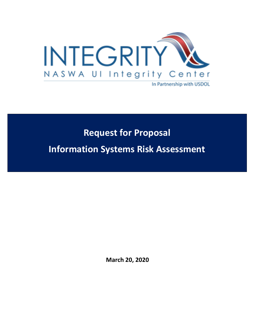

# **Request for Proposal**

**Information Systems Risk Assessment** 

**March 20, 2020**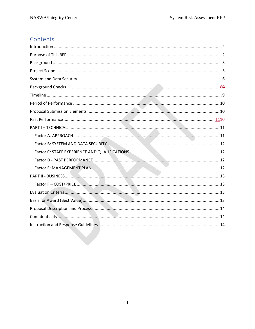# Contents

 $\overline{\phantom{a}}$ 

 $\overline{\phantom{a}}$  $\overline{\phantom{a}}$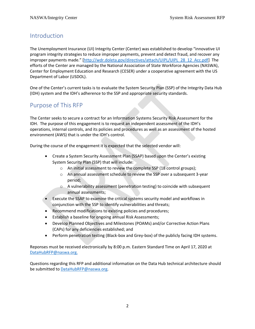# <span id="page-2-0"></span>Introduction

The Unemployment Insurance (UI) Integrity Center (Center) was established to develop "innovative UI program integrity strategies to reduce improper payments, prevent and detect fraud, and recover any improper payments made." [http://wdr.doleta.gov/directives/attach/UIPL/UIPL 28\_12\_Acc.pdf] The efforts of the Center are managed by the National Association of State Workforce Agencies (NASWA), Center for Employment Education and Research (CESER) under a cooperative agreement with the US Department of Labor (USDOL).

One of the Center's current tasks is to evaluate the System Security Plan (SSP) of the Integrity Data Hub (IDH) system and the IDH's adherence to the SSP and appropriate security standards.

# <span id="page-2-1"></span>Purpose of This RFP

The Center seeks to secure a contract for an Information Systems Security Risk Assessment for the IDH. The purpose of this engagement is to request an independent assessment of the IDH's operations, internal controls, and its policies and procedures as well as an assessment of the hosted environment (AWS) that is under the IDH's control.

During the course of the engagement it is expected that the selected vendor will:

- Create a System Security Assessment Plan (SSAP) based upon the Center's existing System Security Plan (SSP) that will include:
	- o An initial assessment to review the complete SSP (18 control groups);
	- o An annual assessment schedule to review the SSP over a subsequent 3-year period;
	- o A vulnerability assessment (penetration testing) to coincide with subsequent annual assessments;
- Execute the SSAP to examine the critical systems security model and workflows in conjunction with the SSP to identify vulnerabilities and threats;
- Recommend modifications to existing policies and procedures;
- Establish a baseline for ongoing annual Risk Assessments;
- Develop Planned Objectives and Milestones (POAMs) and/or Corrective Action Plans (CAPs) for any deficiencies established; and
- Perform penetration testing (Black-box and Grey-box) of the publicly facing IDH systems.

Reponses must be received electronically by 8:00 p.m. Eastern Standard Time on April 17, 2020 at [DataHubRFP@naswa.org.](mailto:TBD@naswa.org)

Questions regarding this RFP and additional information on the Data Hub technical architecture should be submitted to [DataHubRFP@naswa.org.](mailto:TBD@naswa.org)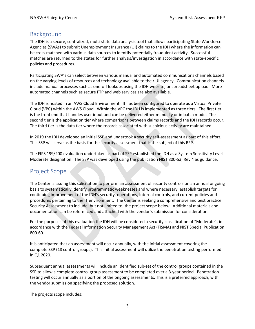# <span id="page-3-0"></span>Background

The IDH is a secure, centralized, multi-state data analysis tool that allows participating State Workforce Agencies (SWAs) to submit Unemployment Insurance (UI) claims to the IDH where the information can be cross matched with various data sources to identify potentially fraudulent activity. Successful matches are returned to the states for further analysis/investigation in accordance with state-specific policies and procedures.

Participating SWA's can select between various manual and automated communications channels based on the varying levels of resources and technology available to their UI agency. Communication channels include manual processes such as one-off lookups using the IDH website, or spreadsheet upload. More automated channels such as secure FTP and web services are also available.

The IDH is hosted in an AWS Cloud Environment. It has been configured to operate as a Virtual Private Cloud (VPC) within the AWS Cloud. Within the VPC the IDH is implemented as three tiers. The first tier is the front end that handles user input and can be delivered either manually or in batch mode. The second tier is the application tier where comparisons between claims records and the IDH records occur. The third tier is the data tier where the records associated with suspicious activity are maintained.

In 2019 the IDH developed an initial SSP and undertook a security self-assessment as part of this effort. This SSP will serve as the basis for the security assessment that is the subject of this RFP.

The FIPS 199/200 evaluation undertaken as part of SSP established the IDH as a System Sensitivity Level Moderate designation. The SSP was developed using the publication NIST 800-53, Rev 4 as guidance.

### <span id="page-3-1"></span>Project Scope

The Center is issuing this solicitation to perform an assessment of security controls on an annual ongoing basis to systematically identify programmatic weaknesses and where necessary, establish targets for continuing improvement of the IDH's security, operations, internal controls, and current policies and procedures pertaining to the IT environment. The Center is seeking a comprehensive and best practice Security Assessment to include, but not limited to, the project scope below. Additional materials and documentation can be referenced and attached with the vendor's submission for consideration.

For the purposes of this evaluation the IDH will be considered a security classification of "Moderate", in accordance with the Federal Information Security Management Act (FISMA) and NIST Special Publication 800-60.

It is anticipated that an assessment will occur annually, with the initial assessment covering the complete SSP (18 control groups). This initial assessment will utilize the penetration testing performed in Q1 2020.

Subsequent annual assessments will include an identified sub-set of the control groups contained in the SSP to allow a complete control group assessment to be completed over a 3-year period. Penetration testing will occur annually as a portion of the ongoing assessments. This is a preferred approach, with the vendor submission specifying the proposed solution.

The projects scope includes: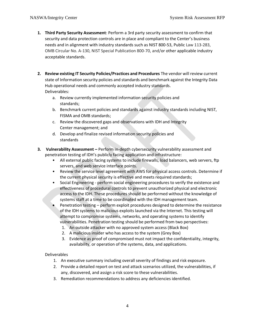- **1. Third Party Security Assessment**: Perform a 3rd party security assessment to confirm that security and data protection controls are in place and compliant to the Center's business needs and in alignment with industry standards such as NIST 800-53, Public Law 113-283, OMB Circular No. A-130, NIST Special Publication 800-70, and/or other applicable industry acceptable standards.
- **2. Review existing IT Security Policies/Practices and Procedures** The vendor will review current state of Information security policies and standards and benchmark against the Integrity Data Hub operational needs and commonly accepted industry standards. Deliverables:
	- a. Review currently implemented information security policies and standards;
	- b. Benchmark current policies and standards against industry standards including NIST, FISMA and OMB standards;
	- c. Review the discovered gaps and observations with IDH and Integrity Center management; and
	- d. Develop and finalize revised information security policies and standards
- **3. Vulnerability Assessment –** Perform in-depth cybersecurity vulnerability assessment and penetration testing of IDH's publicly facing application and infrastructure:
	- All external public facing systems to include firewalls, load balancers, web servers, ftp servers, and web service interface points.
	- Review the service level agreement with AWS for physical access controls. Determine if the current physical security is effective and meets required standards;
	- Social Engineering perform social engineering procedures to verify the existence and effectiveness of procedural controls to prevent unauthorized physical and electronic access to the IDH. These procedures should be performed without the knowledge of systems staff at a time to be coordinated with the IDH management team.
	- Penetration testing perform exploit procedures designed to determine the resistance of the IDH systems to malicious exploits launched via the Internet. This testing will attempt to compromise systems, networks, and operating systems to identify vulnerabilities. Penetration testing should be performed from two perspectives:
		- 1. An outside attacker with no approved system access (Black Box)
		- 2. A malicious insider who has access to the system (Grey Box)
		- 3. Evidence as proof of compromised must not impact the confidentiality, integrity, availability, or operation of the systems, data, and applications.

#### Deliverables

- 1. An executive summary including overall severity of findings and risk exposure.
- 2. Provide a detailed report on test and attack scenarios utilized, the vulnerabilities, if any, discovered, and assign a risk score to these vulnerabilities.
- 3. Remediation recommendations to address any deficiencies identified.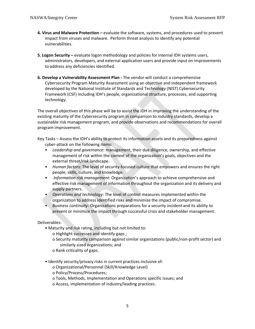- **4. Virus and Malware Protection –** evaluate the software, systems, and procedures used to prevent impact from viruses and malware. Perform threat analysis to identify any potential vulnerabilities.
- **5. Logon Security –** evaluate logon methodology and policies for internal IDH systems users, administrators, developers, and external application users and provide input on improvements to address any deficiencies identified.
- **6. Develop a Vulnerability Assessment Plan -** The vendor will conduct a comprehensive Cybersecurity Program Maturity Assessment using an objective and independent framework developed by the National Institute of Standards and Technology (NIST) Cybersecurity Framework (CSF) including IDH's people, organizational structure, processes, and supporting technology.

The overall objectives of this phase will be to assist the IDH in improving the understanding of the existing maturity of the Cybersecurity program in comparison to industry standards, develop a sustainable risk management program, and provide observations and recommendations for overall program improvement.

Key Tasks – Assess the IDH's ability to protect its information assets and its preparedness against cyber-attack on the following items:

- *Leadership and governance:* management, their due diligence, ownership, and effective management of risk within the context of the organization's goals, objectives and the external threat/risk landscape.
- *Human factors*: The level of security-focused culture that empowers and ensures the right people, skills, culture, and knowledge.
- *Information risk management*: Organization's approach to achieve comprehensive and effective risk management of information throughout the organization and its delivery and supply partners.
- *Operations and technology*: The level of control measures implemented within the organization to address identified risks and minimize the impact of compromise.
- *Business continuity*: Organizations preparations for a security incident and its ability to prevent or minimize the impact through successful crisis and stakeholder management.

Deliverables:

- Maturity and risk rating, including but not limited to:
	- o Highlight successes and identify gaps ;
	- o Security maturity comparison against similar organizations (public/non-profit sector) and similarly sized organizations; and
	- o Rank criticality of gaps.
- Identify security/privacy risks in current practices inclusive of:
	- o Organizational/Personnel (Skill/Knowledge Level)
	- o Policy/Process/Procedures;
	- o Tools, Methods, Implementation and Operations specific issues; and
	- o Access, implementation of industry/leading practices.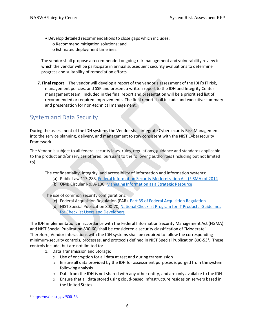• Develop detailed recommendations to close gaps which includes: o Recommend mitigation solutions; and o Estimated deployment timelines.

The vendor shall propose a recommended ongoing risk management and vulnerability review in which the vendor will be participate in annual subsequent security evaluations to determine progress and suitability of remediation efforts.

**7. Final report** – The vendor will develop a report of the vendor's assessment of the IDH's IT risk, management policies, and SSP and present a written report to the IDH and Integrity Center management team. Included in the final report and presentation will be a prioritized list of recommended or required improvements. The final report shall include and executive summary and presentation for non-technical management.

# <span id="page-6-0"></span>System and Data Security

During the assessment of the IDH systems the Vendor shall integrate Cybersecurity Risk Management into the service planning, delivery, and management to stay consistent with the NIST Cybersecurity Framework.

The Vendor is subject to all federal security laws, rules, regulations, guidance and standards applicable to the product and/or services offered, pursuant to the following authorities (including but not limited to):

The confidentiality, integrity, and accessibility of information and information systems:

- (a) Public Law 113-283, [Federal Information Security Modernization Act \(FISMA\) of](http://www.gpo.gov/fdsys/pkg/PLAW-107publ305/pdf/PLAW-107publ305.pdf) 2014
- (b) OMB Circular No. A-130, [Managing Information as a Strategic Resource](https://www.federalregister.gov/documents/2016/07/28/2016-17872/revision-of-omb-circular-no-a-130-managing-information-as-a-strategic-resource)

The use of common security configurations:

- (c) Federal Acquisition Regulation (FAR), [Part 39 of Federal Acquisition Regulation](file:///C:/Users/Kaye-Keith-D/AppData/Local/Microsoft/Windows/INetCache/Content.Outlook/Y8X3AIBU/1.%09Part%2039%20of%20the%20Federal%20Acquisition%20Regulation%20(FAR),%20https:/www.acquisition.gov/sites/default/files/current/far/html/FARTOCP39.html)
- (d) NIST Special Publication 800-70, [National Checklist Program for IT Products: Guidelines](https://csrc.nist.gov/publications/detail/sp/800-70/rev-4/final)  [for Checklist Users and Developers](https://csrc.nist.gov/publications/detail/sp/800-70/rev-4/final)

The IDH implementation, in accordance with the Federal Information Security Management Act (FISMA) and NIST Special Publication 800-60, shall be considered a security classification of "Moderate". Therefore, Vendor interactions with the IDH systems shall be required to follow the corresponding minimum-security controls, processes, and protocols defined in NIST Special Publication 800-53<sup>1</sup>. These controls include, but are not limited to:

- 1. Data Transmission and Storage:
	- o Use of encryption for all data at rest and during transmission
	- $\circ$  Ensure all data provided by the IDH for assessment purposes is purged from the system following analysis
	- $\circ$  Data from the IDH is not shared with any other entity, and are only available to the IDH
	- o Ensure that all data stored using cloud-based infrastructure resides on servers based in the United States

 $<sup>1</sup>$  <https://nvd.nist.gov/800-53></sup>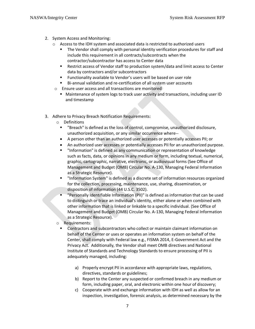- 2. System Access and Monitoring:
	- $\circ$  Access to the IDH system and associated data is restricted to authorized users
		- The Vendor shall comply with personal identity verification procedures for staff and include this requirement in all contracts/subcontracts when the contractor/subcontractor has access to Center data
		- Restrict access of Vendor staff to production system/data and limit access to Center data by contractors and/or subcontractors
		- Functionality available to Vendor's users will be based on user role
		- Bi-annual validation and re-certification of all system user accounts
	- o Ensure user access and all transactions are monitored
		- Maintenance of system logs to track user activity and transactions, including user ID and timestamp
- 3. Adhere to Privacy Breach Notification Requirements:
	- o Definitions
		- "Breach" is defined as the loss of control, compromise, unauthorized disclosure, unauthorized acquisition, or any similar occurrence where--
		- A person other than an authorized user accesses or potentially accesses PII; or
		- An authorized user accesses or potentially accesses PII for an unauthorized purpose.
		- "Information" is defined as any communication or representation of knowledge such as facts, data, or opinions in any medium or form, including textual, numerical, graphic, cartographic, narrative, electronic, or audiovisual forms (See Office of Management and Budget (OMB) Circular No. A-130, Managing Federal Information as a Strategic Resource).
		- "Information System" is defined as a discrete set of information resources organized for the collection, processing, maintenance, use, sharing, dissemination, or disposition of information (44 U.S.C. 3502).
		- "Personally Identifiable Information (PII)" is defined as information that can be used to distinguish or trace an individual's identity, either alone or when combined with other information that is linked or linkable to a specific individual. (See Office of Management and Budget (OMB) Circular No. A-130, Managing Federal Information as a Strategic Resource).
	- o Requirements:
		- Contractors and subcontractors who collect or maintain claimant information on behalf of the Center or uses or operates an information system on behalf of the Center, shall comply with Federal law e.g., FISMA 2014, E-Government Act and the Privacy Act. Additionally, the Vendor shall meet OMB directives and National Institute of Standards and Technology Standards to ensure processing of PII is adequately managed, including:
			- a) Properly encrypt PII in accordance with appropriate laws, regulations, directives, standards or guidelines;
			- b) Report to the Center any suspected or confirmed breach in any medium or form, including paper, oral, and electronic within one hour of discovery;
			- c) Cooperate with and exchange information with IDH as well as allow for an inspection, investigation, forensic analysis, as determined necessary by the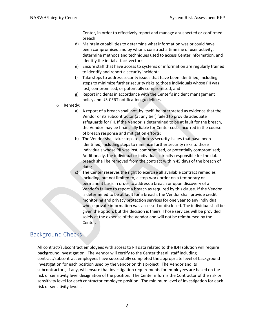Center, in order to effectively report and manage a suspected or confirmed breach;

- d) Maintain capabilities to determine what information was or could have been compromised and by whom, construct a timeline of user activity, determine methods and techniques used to access Center information, and identify the initial attack vector;
- e) Ensure staff that have access to systems or information are regularly trained to identify and report a security incident;
- f) Take steps to address security issues that have been identified, including steps to minimize further security risks to those individuals whose PII was lost, compromised, or potentially compromised; and
- g) Report incidents in accordance with the Center's incident management policy and US-CERT notification guidelines.
- o Remedy:
	- a) A report of a breach shall not, by itself, be interpreted as evidence that the Vendor or its subcontractor (at any tier) failed to provide adequate safeguards for PII. If the Vendor is determined to be at fault for the breach, the Vendor may be financially liable for Center costs incurred in the course of breach response and mitigation efforts;
	- b) The Vendor shall take steps to address security issues that have been identified, including steps to minimize further security risks to those individuals whose PII was lost, compromised, or potentially compromised; Additionally, the individual or individuals directly responsible for the data breach shall be removed from the contract within 45 days of the breach of data;
	- c) The Center reserves the right to exercise all available contract remedies including, but not limited to, a stop-work order on a temporary or permanent basis in order to address a breach or upon discovery of a Vendor's failure to report a breach as required by this clause. If the Vendor is determined to be at fault for a breach, the Vendor shall provide credit monitoring and privacy protection services for one year to any individual whose private information was accessed or disclosed. The individual shall be given the option, but the decision is theirs. Those services will be provided solely at the expense of the Vendor and will not be reimbursed by the Center.

### <span id="page-8-0"></span>Background Checks

All contract/subcontract employees with access to PII data related to the IDH solution will require background investigation. The Vendor will certify to the Center that all staff including contract/subcontract employees have successfully completed the appropriate level of background investigation for each position used by the vendor on this project. The Vendor and its subcontractors, if any, will ensure that investigation requirements for employees are based on the risk or sensitivity level designation of the position. The Center informs the Contractor of the risk or sensitivity level for each contractor employee position. The minimum level of investigation for each risk or sensitivity level is: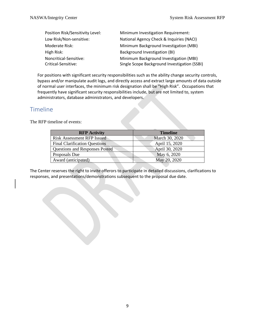| Position Risk/Sensitivity Level: | Minimum Investigation Requirement:           |
|----------------------------------|----------------------------------------------|
| Low Risk/Non-sensitive:          | National Agency Check & Inquiries (NACI)     |
| Moderate Risk:                   | Minimum Background Investigation (MBI)       |
| High Risk:                       | Background Investigation (BI)                |
| Noncritical-Sensitive:           | Minimum Background Investigation (MBI)       |
| Critical-Sensitive:              | Single Scope Background Investigation (SSBI) |

For positions with significant security responsibilities such as the ability change security controls, bypass and/or manipulate audit logs, and directly access and extract large amounts of data outside of normal user interfaces, the minimum risk designation shall be "High Risk". Occupations that frequently have significant security responsibilities include, but are not limited to, system administrators, database administrators, and developers.

### <span id="page-9-0"></span>Timeline

The RFP timeline of events:

| <b>RFP</b> Activity                   | <b>Timeline</b> |
|---------------------------------------|-----------------|
| <b>Risk Assessment RFP Issued</b>     | March 30, 2020  |
| <b>Final Clarification Questions</b>  | April 15, 2020  |
| <b>Questions and Responses Posted</b> | April 30, 2020  |
| Proposals Due                         | May 6, 2020     |
| Award (anticipated)                   | May 20, 2020    |
|                                       |                 |

The Center reserves the right to invite offerors to participate in detailed discussions, clarifications to responses, and presentations/demonstrations subsequent to the proposal due date.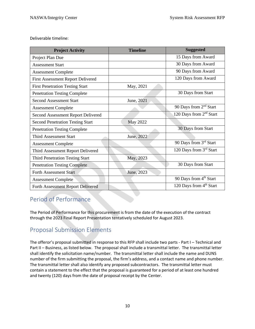Deliverable timeline:

| <b>Project Activity</b>                 | <b>Timeline</b> | <b>Suggested</b>                    |
|-----------------------------------------|-----------------|-------------------------------------|
| Project Plan Due                        |                 | 15 Days from Award                  |
| <b>Assessment Start</b>                 |                 | 30 Days from Award                  |
| <b>Assessment Complete</b>              |                 | 90 Days from Award                  |
| First Assessment Report Delivered       |                 | 120 Days from Award                 |
| <b>First Penetration Testing Start</b>  | May, 2021       |                                     |
| <b>Penetration Testing Complete</b>     |                 | 30 Days from Start                  |
| <b>Second Assessment Start</b>          | June, 2021      |                                     |
| <b>Assessment Complete</b>              |                 | 90 Days from 2 <sup>nd</sup> Start  |
| Second Assessment Report Delivered      |                 | 120 Days from 2 <sup>nd</sup> Start |
| <b>Second Penetration Testing Start</b> | <b>May 2022</b> |                                     |
| <b>Penetration Testing Complete</b>     |                 | 30 Days from Start                  |
| <b>Third Assessment Start</b>           | June, 2022      |                                     |
| <b>Assessment Complete</b>              |                 | 90 Days from 3rd Start              |
| Third Assessment Report Delivered       |                 | 120 Days from 3rd Start             |
| <b>Third Penetration Testing Start</b>  | May, 2023       |                                     |
| <b>Penetration Testing Complete</b>     |                 | 30 Days from Start                  |
| <b>Forth Assessment Start</b>           | June, 2023      |                                     |
| <b>Assessment Complete</b>              |                 | 90 Days from 4 <sup>th</sup> Start  |
| Forth Assessment Report Delivered       |                 | 120 Days from 4 <sup>th</sup> Start |

# <span id="page-10-0"></span>Period of Performance

The Period of Performance for this procurement is from the date of the execution of the contract through the 2023 Final Report Presentation tentatively scheduled for August 2023.

# <span id="page-10-1"></span>Proposal Submission Elements

The offeror's proposal submitted in response to this RFP shall include two parts - Part I – Technical and Part II – Business, as listed below. The proposal shall include a transmittal letter. The transmittal letter shall identify the solicitation name/number. The transmittal letter shall include the name and DUNS number of the firm submitting the proposal, the firm's address, and a contact name and phone number. The transmittal letter shall also identify any proposed subcontractors. The transmittal letter must contain a statement to the effect that the proposal is guaranteed for a period of at least one hundred and twenty (120) days from the date of proposal receipt by the Center.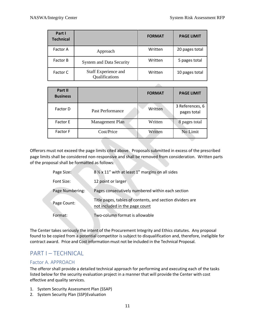| Part I<br><b>Technical</b> |                                        | <b>FORMAT</b> | <b>PAGE LIMIT</b> |
|----------------------------|----------------------------------------|---------------|-------------------|
| <b>Factor A</b>            | Approach                               | Written       | 20 pages total    |
| <b>Factor B</b>            | <b>System and Data Security</b>        | Written       | 5 pages total     |
| Factor C                   | Staff Experience and<br>Qualifications | Written       | 10 pages total    |

<span id="page-11-0"></span>

| Part II<br><b>Business</b> |                  | <b>FORMAT</b> | <b>PAGE LIMIT</b>              |
|----------------------------|------------------|---------------|--------------------------------|
| Factor D                   | Past Performance | Written       | 3 References, 6<br>pages total |
| <b>Factor E</b>            | Management Plan  | Written       | 8 pages total                  |
| <b>Factor F</b>            | Cost/Price       | Written       | No Limit                       |

Offerors must not exceed the page limits cited above. Proposals submitted in excess of the prescribed page limits shall be considered non-responsive and shall be removed from consideration. Written parts of the proposal shall be formatted as follows:

| Page Size:      | 8 % x 11" with at least 1" margins on all sides                                             |
|-----------------|---------------------------------------------------------------------------------------------|
| Font Size:      | 12 point or larger                                                                          |
| Page Numbering: | Pages consecutively numbered within each section                                            |
| Page Count:     | Title pages, tables of contents, and section dividers are<br>not included in the page count |
| Format:         | Two-column format is allowable                                                              |

The Center takes seriously the intent of the Procurement Integrity and Ethics statutes. Any proposal found to be copied from a potential competitor is subject to disqualification and, therefore, ineligible for contract award. Price and Cost information must not be included in the Technical Proposal.

## <span id="page-11-1"></span>PART I – TECHNICAL

#### <span id="page-11-2"></span>Factor A. APPROACH

The offeror shall provide a detailed technical approach for performing and executing each of the tasks listed below for the security evaluation project in a manner that will provide the Center with cost effective and quality services.

- 1. System Security Assessment Plan (SSAP)
- 2. System Security Plan (SSP)Evaluation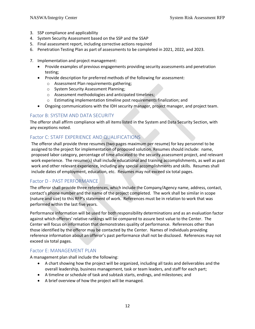- 3. SSP compliance and applicability
- 4. System Security Assessment based on the SSP and the SSAP
- 5. Final assessment report, including corrective actions required
- 6. Penetration Testing Plan as part of assessments to be completed in 2021, 2022, and 2023.
- 7. Implementation and project management:
	- Provide examples of previous engagements providing security assessments and penetration testing;
	- Provide description for preferred methods of the following for assessment:
		- o Assessment Plan requirements gathering;
		- o System Security Assessment Planning;
		- o Assessment methodologies and anticipated timelines;
		- o Estimating implementation timeline post requirements finalization; and
	- Ongoing communications with the IDH security manager, project manager, and project team.

#### <span id="page-12-0"></span>Factor B: SYSTEM AND DATA SECURITY

The offeror shall affirm compliance with all items listed in the System and Data Security Section, with any exceptions noted.

#### <span id="page-12-1"></span>Factor C: STAFF EXPERIENCE AND QUALIFICATIONS

The offeror shall provide three resumes (two pages maximum per resume) for key personnel to be assigned to the project for implementation of proposed solution. Resumes should include: name, proposed labor category, percentage of time allocated to the security assessment project, and relevant work experience. The resume(s) shall include educational and training accomplishments, as well as past work and other relevant experience, including any special accomplishments and skills. Resumes shall include dates of employment, education, etc. Resumes may not exceed six total pages.

#### <span id="page-12-2"></span>Factor D - PAST PERFORMANCE

The offeror shall provide three references, which include the Company/Agency name, address, contact, contact's phone number and the name of the project completed. The work shall be similar in scope (nature and size) to this RFP's statement of work. References must be in relation to work that was performed within the last five years.

Performance information will be used for both responsibility determinations and as an evaluation factor against which offerors' relative rankings will be compared to assure best value to the Center. The Center will focus on information that demonstrates quality of performance. References other than those identified by the offeror may be contacted by the Center. Names of individuals providing reference information about an offeror's past performance shall not be disclosed. References may not exceed six total pages.

#### <span id="page-12-3"></span>Factor E: MANAGEMENT PLAN

A management plan shall include the following:

- A chart showing how the project will be organized, including all tasks and deliverables and the overall leadership, business management, task or team leaders, and staff for each part;
- A timeline or schedule of task and subtask starts, endings, and milestones; and
- A brief overview of how the project will be managed.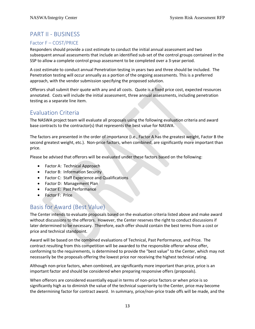# <span id="page-13-0"></span>PART II - BUSINESS

#### <span id="page-13-1"></span>Factor F – COST/PRICE

Responders should provide a cost estimate to conduct the initial annual assessment and two subsequent annual assessments that include an identified sub-set of the control groups contained in the SSP to allow a complete control group assessment to be completed over a 3-year period.

A cost estimate to conduct annual Penetration testing in years two and three should be included. The Penetration testing will occur annually as a portion of the ongoing assessments. This is a preferred approach, with the vendor submission specifying the proposed solution.

Offerors shall submit their quote with any and all costs. Quote is a fixed price cost, expected resources annotated. Costs will include the initial assessment, three annual assessments, including penetration testing as a separate line item.

# <span id="page-13-2"></span>Evaluation Criteria

The NASWA project team will evaluate all proposals using the following evaluation criteria and award base contracts to the contractor(s) that represents the best value for NASWA.

The factors are presented in the order of importance (i.e., Factor A has the greatest weight, Factor B the second greatest weight, etc.). Non-price factors, when combined, are significantly more important than price.

Please be advised that offerors will be evaluated under these factors based on the following:

- Factor A: Technical Approach
- Factor B: Information Security
- Factor C: Staff Experience and Qualifications
- Factor D: Management Plan
- Factor E: Past Performance
- Factor F: Price

### <span id="page-13-3"></span>Basis for Award (Best Value)

The Center intends to evaluate proposals based on the evaluation criteria listed above and make award without discussions to the offerors. However, the Center reserves the right to conduct discussions if later determined to be necessary. Therefore, each offer should contain the best terms from a cost or price and technical standpoint.

Award will be based on the combined evaluations of Technical, Past Performance, and Price. The contract resulting from this competition will be awarded to the responsible offeror whose offer, conforming to the requirements, is determined to provide the "best value" to the Center, which may not necessarily be the proposals offering the lowest price nor receiving the highest technical rating.

Although non-price factors, when combined, are significantly more important than price, price is an important factor and should be considered when preparing responsive offers (proposals).

When offerors are considered essentially equal in terms of non-price factors or when price is so significantly high as to diminish the value of the technical superiority to the Center, price may become the determining factor for contract award. In summary, price/non-price trade offs will be made, and the